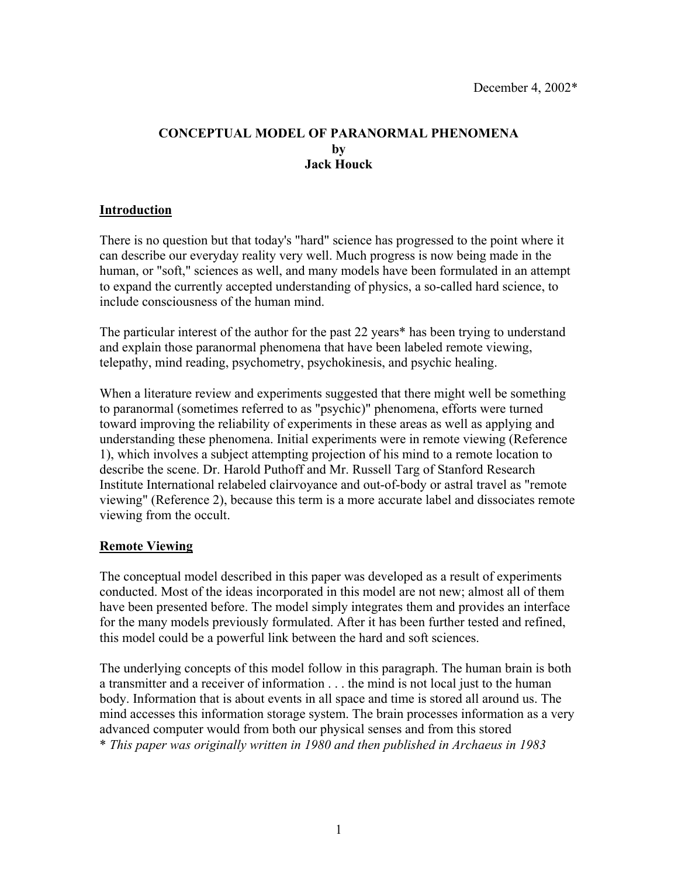# **CONCEPTUAL MODEL OF PARANORMAL PHENOMENA**   $h$ <sub>V</sub> **Jack Houck**

#### **Introduction**

There is no question but that today's "hard" science has progressed to the point where it can describe our everyday reality very well. Much progress is now being made in the human, or "soft," sciences as well, and many models have been formulated in an attempt to expand the currently accepted understanding of physics, a so-called hard science, to include consciousness of the human mind.

The particular interest of the author for the past 22 years\* has been trying to understand and explain those paranormal phenomena that have been labeled remote viewing, telepathy, mind reading, psychometry, psychokinesis, and psychic healing.

When a literature review and experiments suggested that there might well be something to paranormal (sometimes referred to as "psychic)" phenomena, efforts were turned toward improving the reliability of experiments in these areas as well as applying and understanding these phenomena. Initial experiments were in remote viewing (Reference 1), which involves a subject attempting projection of his mind to a remote location to describe the scene. Dr. Harold Puthoff and Mr. Russell Targ of Stanford Research Institute International relabeled clairvoyance and out-of-body or astral travel as "remote viewing" (Reference 2), because this term is a more accurate label and dissociates remote viewing from the occult.

### **Remote Viewing**

The conceptual model described in this paper was developed as a result of experiments conducted. Most of the ideas incorporated in this model are not new; almost all of them have been presented before. The model simply integrates them and provides an interface for the many models previously formulated. After it has been further tested and refined, this model could be a powerful link between the hard and soft sciences.

The underlying concepts of this model follow in this paragraph. The human brain is both a transmitter and a receiver of information . . . the mind is not local just to the human body. Information that is about events in all space and time is stored all around us. The mind accesses this information storage system. The brain processes information as a very advanced computer would from both our physical senses and from this stored \* *This paper was originally written in 1980 and then published in Archaeus in 1983*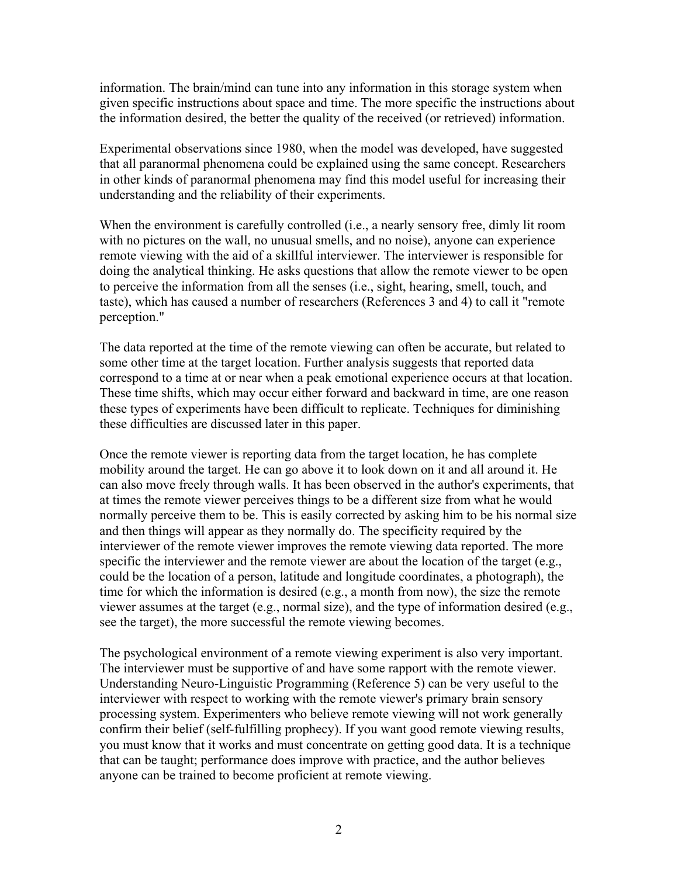information. The brain/mind can tune into any information in this storage system when given specific instructions about space and time. The more specific the instructions about the information desired, the better the quality of the received (or retrieved) information.

Experimental observations since 1980, when the model was developed, have suggested that all paranormal phenomena could be explained using the same concept. Researchers in other kinds of paranormal phenomena may find this model useful for increasing their understanding and the reliability of their experiments.

When the environment is carefully controlled (i.e., a nearly sensory free, dimly lit room with no pictures on the wall, no unusual smells, and no noise), anyone can experience remote viewing with the aid of a skillful interviewer. The interviewer is responsible for doing the analytical thinking. He asks questions that allow the remote viewer to be open to perceive the information from all the senses (i.e., sight, hearing, smell, touch, and taste), which has caused a number of researchers (References 3 and 4) to call it "remote perception."

The data reported at the time of the remote viewing can often be accurate, but related to some other time at the target location. Further analysis suggests that reported data correspond to a time at or near when a peak emotional experience occurs at that location. These time shifts, which may occur either forward and backward in time, are one reason these types of experiments have been difficult to replicate. Techniques for diminishing these difficulties are discussed later in this paper.

Once the remote viewer is reporting data from the target location, he has complete mobility around the target. He can go above it to look down on it and all around it. He can also move freely through walls. It has been observed in the author's experiments, that at times the remote viewer perceives things to be a different size from what he would normally perceive them to be. This is easily corrected by asking him to be his normal size and then things will appear as they normally do. The specificity required by the interviewer of the remote viewer improves the remote viewing data reported. The more specific the interviewer and the remote viewer are about the location of the target (e.g., could be the location of a person, latitude and longitude coordinates, a photograph), the time for which the information is desired (e.g., a month from now), the size the remote viewer assumes at the target (e.g., normal size), and the type of information desired (e.g., see the target), the more successful the remote viewing becomes.

The psychological environment of a remote viewing experiment is also very important. The interviewer must be supportive of and have some rapport with the remote viewer. Understanding Neuro-Linguistic Programming (Reference 5) can be very useful to the interviewer with respect to working with the remote viewer's primary brain sensory processing system. Experimenters who believe remote viewing will not work generally confirm their belief (self-fulfilling prophecy). If you want good remote viewing results, you must know that it works and must concentrate on getting good data. It is a technique that can be taught; performance does improve with practice, and the author believes anyone can be trained to become proficient at remote viewing.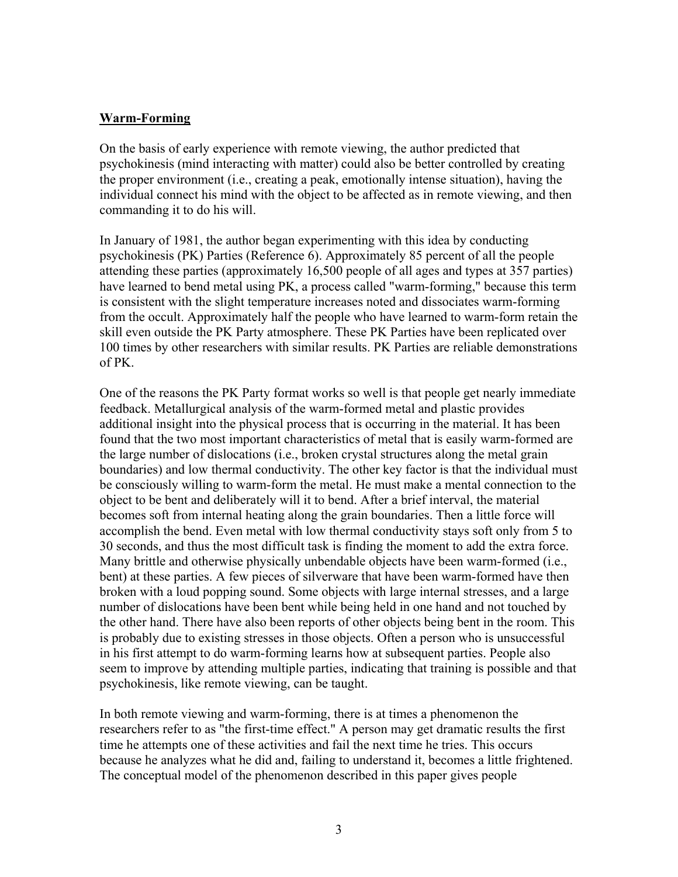#### **Warm-Forming**

On the basis of early experience with remote viewing, the author predicted that psychokinesis (mind interacting with matter) could also be better controlled by creating the proper environment (i.e., creating a peak, emotionally intense situation), having the individual connect his mind with the object to be affected as in remote viewing, and then commanding it to do his will.

In January of 1981, the author began experimenting with this idea by conducting psychokinesis (PK) Parties (Reference 6). Approximately 85 percent of all the people attending these parties (approximately 16,500 people of all ages and types at 357 parties) have learned to bend metal using PK, a process called "warm-forming," because this term is consistent with the slight temperature increases noted and dissociates warm-forming from the occult. Approximately half the people who have learned to warm-form retain the skill even outside the PK Party atmosphere. These PK Parties have been replicated over 100 times by other researchers with similar results. PK Parties are reliable demonstrations of PK.

One of the reasons the PK Party format works so well is that people get nearly immediate feedback. Metallurgical analysis of the warm-formed metal and plastic provides additional insight into the physical process that is occurring in the material. It has been found that the two most important characteristics of metal that is easily warm-formed are the large number of dislocations (i.e., broken crystal structures along the metal grain boundaries) and low thermal conductivity. The other key factor is that the individual must be consciously willing to warm-form the metal. He must make a mental connection to the object to be bent and deliberately will it to bend. After a brief interval, the material becomes soft from internal heating along the grain boundaries. Then a little force will accomplish the bend. Even metal with low thermal conductivity stays soft only from 5 to 30 seconds, and thus the most difficult task is finding the moment to add the extra force. Many brittle and otherwise physically unbendable objects have been warm-formed (i.e., bent) at these parties. A few pieces of silverware that have been warm-formed have then broken with a loud popping sound. Some objects with large internal stresses, and a large number of dislocations have been bent while being held in one hand and not touched by the other hand. There have also been reports of other objects being bent in the room. This is probably due to existing stresses in those objects. Often a person who is unsuccessful in his first attempt to do warm-forming learns how at subsequent parties. People also seem to improve by attending multiple parties, indicating that training is possible and that psychokinesis, like remote viewing, can be taught.

In both remote viewing and warm-forming, there is at times a phenomenon the researchers refer to as "the first-time effect." A person may get dramatic results the first time he attempts one of these activities and fail the next time he tries. This occurs because he analyzes what he did and, failing to understand it, becomes a little frightened. The conceptual model of the phenomenon described in this paper gives people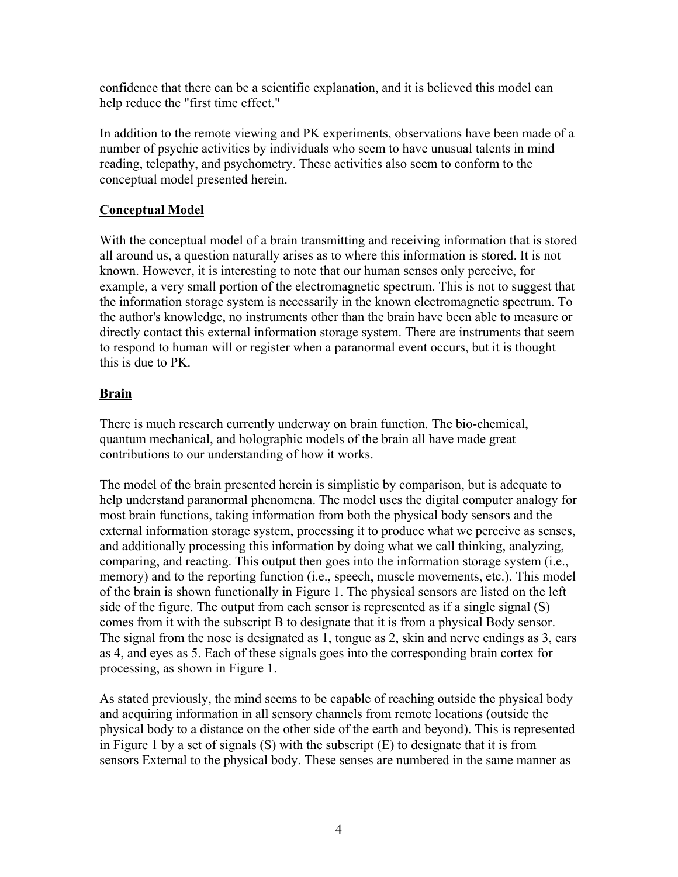confidence that there can be a scientific explanation, and it is believed this model can help reduce the "first time effect."

In addition to the remote viewing and PK experiments, observations have been made of a number of psychic activities by individuals who seem to have unusual talents in mind reading, telepathy, and psychometry. These activities also seem to conform to the conceptual model presented herein.

## **Conceptual Model**

With the conceptual model of a brain transmitting and receiving information that is stored all around us, a question naturally arises as to where this information is stored. It is not known. However, it is interesting to note that our human senses only perceive, for example, a very small portion of the electromagnetic spectrum. This is not to suggest that the information storage system is necessarily in the known electromagnetic spectrum. To the author's knowledge, no instruments other than the brain have been able to measure or directly contact this external information storage system. There are instruments that seem to respond to human will or register when a paranormal event occurs, but it is thought this is due to PK.

### **Brain**

There is much research currently underway on brain function. The bio-chemical, quantum mechanical, and holographic models of the brain all have made great contributions to our understanding of how it works.

The model of the brain presented herein is simplistic by comparison, but is adequate to help understand paranormal phenomena. The model uses the digital computer analogy for most brain functions, taking information from both the physical body sensors and the external information storage system, processing it to produce what we perceive as senses, and additionally processing this information by doing what we call thinking, analyzing, comparing, and reacting. This output then goes into the information storage system (i.e., memory) and to the reporting function (i.e., speech, muscle movements, etc.). This model of the brain is shown functionally in Figure 1. The physical sensors are listed on the left side of the figure. The output from each sensor is represented as if a single signal (S) comes from it with the subscript B to designate that it is from a physical Body sensor. The signal from the nose is designated as 1, tongue as 2, skin and nerve endings as 3, ears as 4, and eyes as 5. Each of these signals goes into the corresponding brain cortex for processing, as shown in Figure 1.

As stated previously, the mind seems to be capable of reaching outside the physical body and acquiring information in all sensory channels from remote locations (outside the physical body to a distance on the other side of the earth and beyond). This is represented in Figure 1 by a set of signals  $(S)$  with the subscript  $(E)$  to designate that it is from sensors External to the physical body. These senses are numbered in the same manner as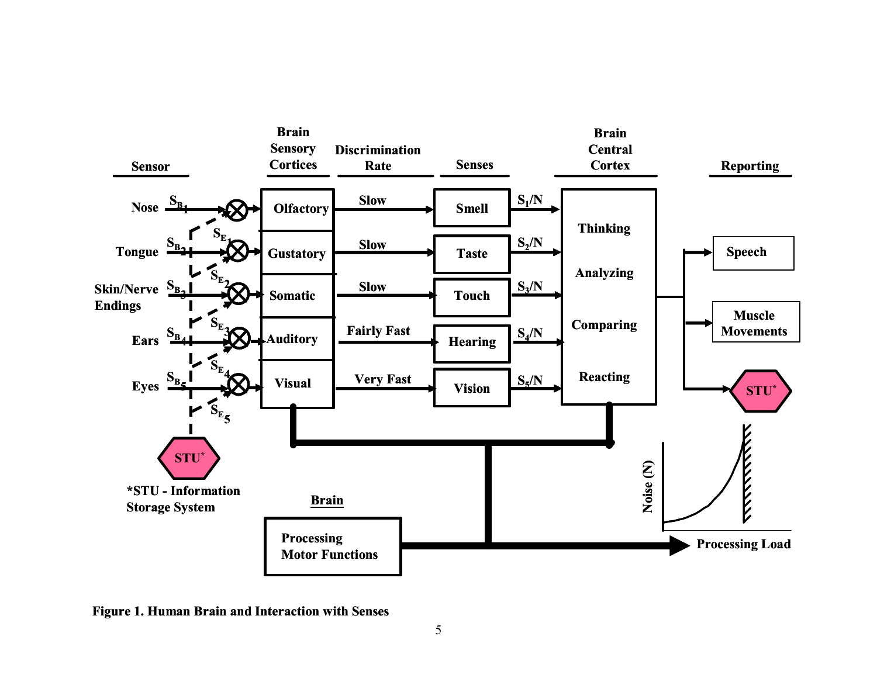

**Figure 1. Human Brain and Interaction with Senses**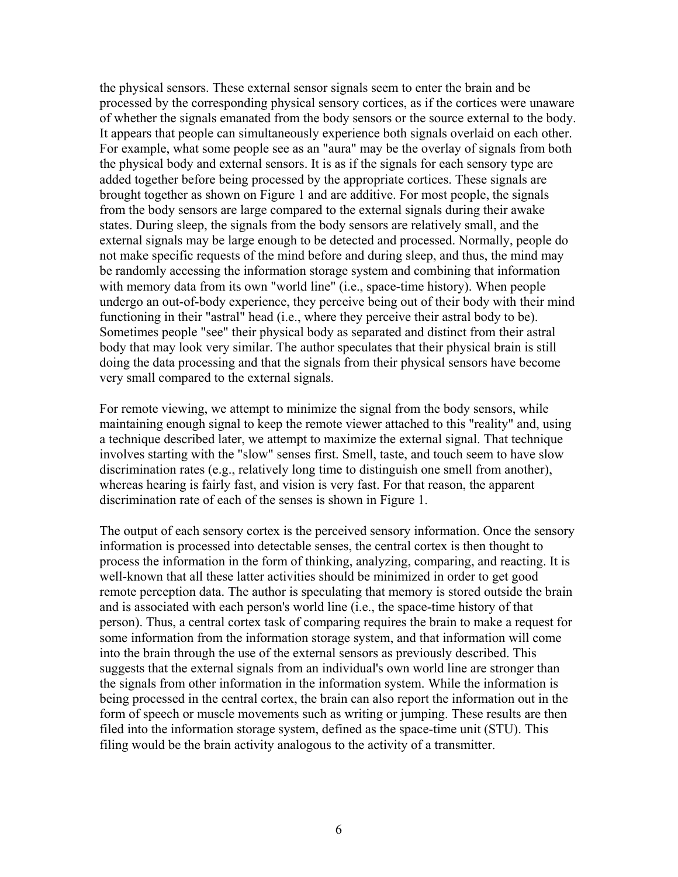the physical sensors. These external sensor signals seem to enter the brain and be processed by the corresponding physical sensory cortices, as if the cortices were unaware of whether the signals emanated from the body sensors or the source external to the body. It appears that people can simultaneously experience both signals overlaid on each other. For example, what some people see as an "aura" may be the overlay of signals from both the physical body and external sensors. It is as if the signals for each sensory type are added together before being processed by the appropriate cortices. These signals are brought together as shown on Figure 1 and are additive. For most people, the signals from the body sensors are large compared to the external signals during their awake states. During sleep, the signals from the body sensors are relatively small, and the external signals may be large enough to be detected and processed. Normally, people do not make specific requests of the mind before and during sleep, and thus, the mind may be randomly accessing the information storage system and combining that information with memory data from its own "world line" (i.e., space-time history). When people undergo an out-of-body experience, they perceive being out of their body with their mind functioning in their "astral" head (i.e., where they perceive their astral body to be). Sometimes people "see" their physical body as separated and distinct from their astral body that may look very similar. The author speculates that their physical brain is still doing the data processing and that the signals from their physical sensors have become very small compared to the external signals.

For remote viewing, we attempt to minimize the signal from the body sensors, while maintaining enough signal to keep the remote viewer attached to this "reality" and, using a technique described later, we attempt to maximize the external signal. That technique involves starting with the "slow" senses first. Smell, taste, and touch seem to have slow discrimination rates (e.g., relatively long time to distinguish one smell from another), whereas hearing is fairly fast, and vision is very fast. For that reason, the apparent discrimination rate of each of the senses is shown in Figure 1.

The output of each sensory cortex is the perceived sensory information. Once the sensory information is processed into detectable senses, the central cortex is then thought to process the information in the form of thinking, analyzing, comparing, and reacting. It is well-known that all these latter activities should be minimized in order to get good remote perception data. The author is speculating that memory is stored outside the brain and is associated with each person's world line (i.e., the space-time history of that person). Thus, a central cortex task of comparing requires the brain to make a request for some information from the information storage system, and that information will come into the brain through the use of the external sensors as previously described. This suggests that the external signals from an individual's own world line are stronger than the signals from other information in the information system. While the information is being processed in the central cortex, the brain can also report the information out in the form of speech or muscle movements such as writing or jumping. These results are then filed into the information storage system, defined as the space-time unit (STU). This filing would be the brain activity analogous to the activity of a transmitter.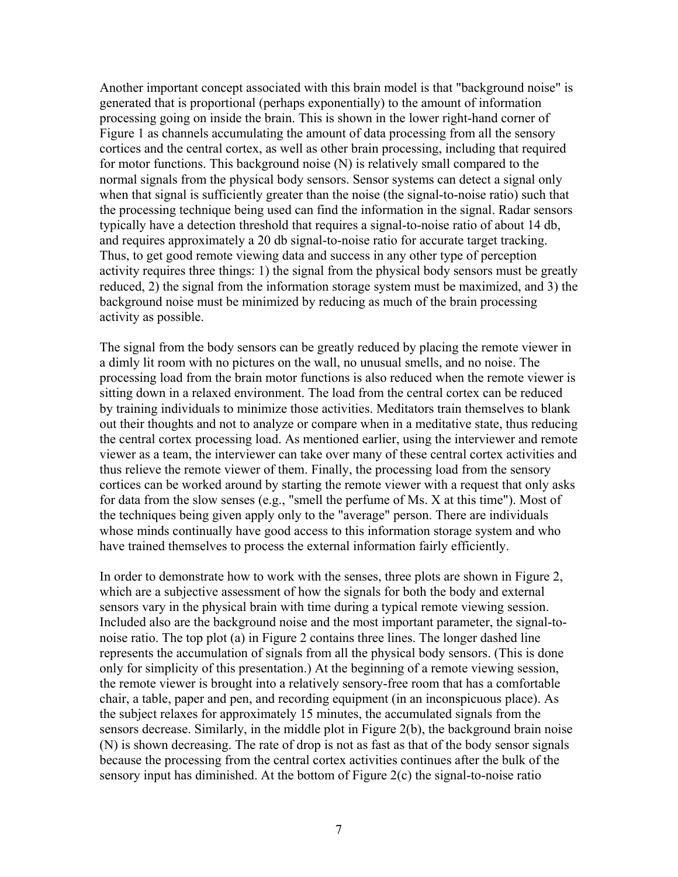Another important concept associated with this brain model is that "background noise" is generated that is proportional (perhaps exponentially) to the amount of information processing going on inside the brain. This is shown in the lower right-hand corner of Figure 1 as channels accumulating the amount of data processing from all the sensory cortices and the central cortex, as well as other brain processing, including that required for motor functions. This background noise (N) is relatively small compared to the normal signals from the physical body sensors. Sensor systems can detect a signal only when that signal is sufficiently greater than the noise (the signal-to-noise ratio) such that the processing technique being used can find the information in the signal. Radar sensors typically have a detection threshold that requires a signal-to-noise ratio of about 14 db, and requires approximately a 20 db signal-to-noise ratio for accurate target tracking. Thus, to get good remote viewing data and success in any other type of perception activity requires three things: 1) the signal from the physical body sensors must be greatly reduced, 2) the signal from the information storage system must be maximized, and 3) the background noise must be minimized by reducing as much of the brain processing activity as possible.

The signal from the body sensors can be greatly reduced by placing the remote viewer in a dimly lit room with no pictures on the wall, no unusual smells, and no noise. The processing load from the brain motor functions is also reduced when the remote viewer is sitting down in a relaxed environment. The load from the central cortex can be reduced by training individuals to minimize those activities. Meditators train themselves to blank out their thoughts and not to analyze or compare when in a meditative state, thus reducing the central cortex processing load. As mentioned earlier, using the interviewer and remote viewer as a team, the interviewer can take over many of these central cortex activities and thus relieve the remote viewer of them. Finally, the processing load from the sensory cortices can be worked around by starting the remote viewer with a request that only asks for data from the slow senses (e.g., "smell the perfume of Ms. X at this time"). Most of the techniques being given apply only to the "average" person. There are individuals whose minds continually have good access to this information storage system and who have trained themselves to process the external information fairly efficiently.

In order to demonstrate how to work with the senses, three plots are shown in Figure 2, which are a subjective assessment of how the signals for both the body and external sensors vary in the physical brain with time during a typical remote viewing session. Included also are the background noise and the most important parameter, the signal-tonoise ratio. The top plot (a) in Figure 2 contains three lines. The longer dashed line represents the accumulation of signals from all the physical body sensors. (This is done only for simplicity of this presentation.) At the beginning of a remote viewing session, the remote viewer is brought into a relatively sensory-free room that has a comfortable chair, a table, paper and pen, and recording equipment (in an inconspicuous place). As the subject relaxes for approximately 15 minutes, the accumulated signals from the sensors decrease. Similarly, in the middle plot in Figure 2(b), the background brain noise (N) is shown decreasing. The rate of drop is not as fast as that of the body sensor signals because the processing from the central cortex activities continues after the bulk of the sensory input has diminished. At the bottom of Figure 2(c) the signal-to-noise ratio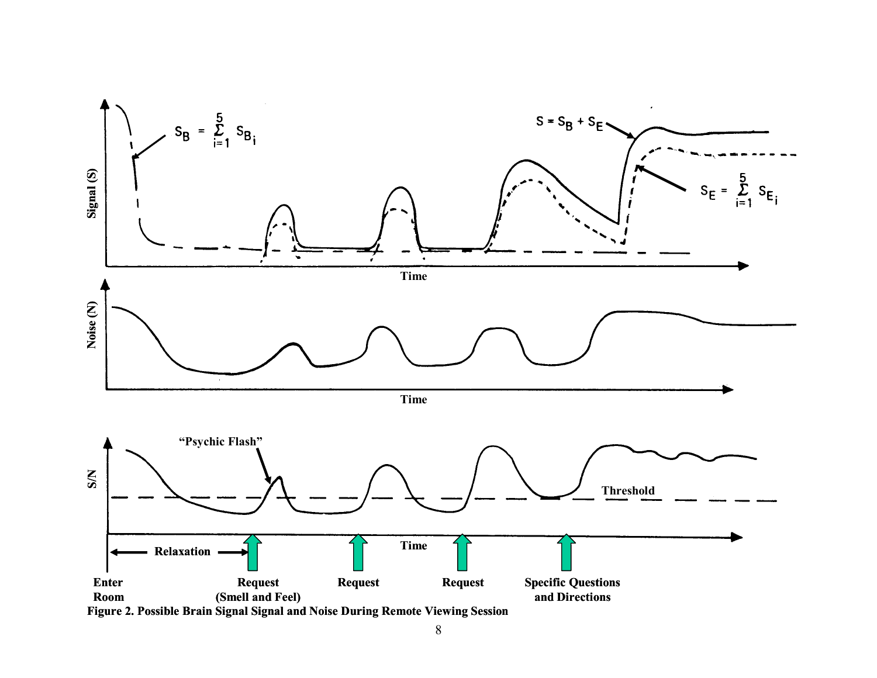

8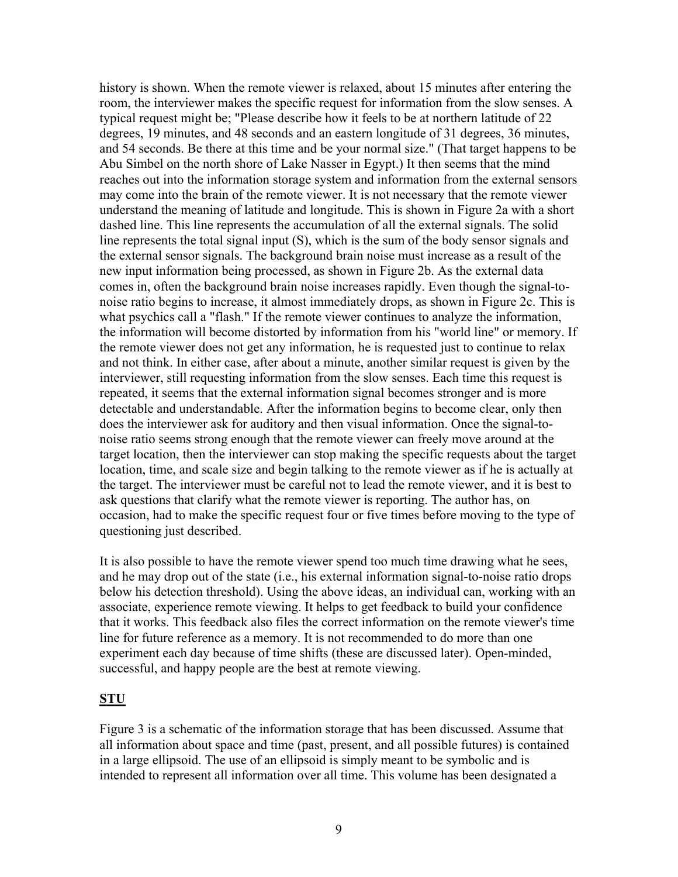history is shown. When the remote viewer is relaxed, about 15 minutes after entering the room, the interviewer makes the specific request for information from the slow senses. A typical request might be; "Please describe how it feels to be at northern latitude of 22 degrees, 19 minutes, and 48 seconds and an eastern longitude of 31 degrees, 36 minutes, and 54 seconds. Be there at this time and be your normal size." (That target happens to be Abu Simbel on the north shore of Lake Nasser in Egypt.) It then seems that the mind reaches out into the information storage system and information from the external sensors may come into the brain of the remote viewer. It is not necessary that the remote viewer understand the meaning of latitude and longitude. This is shown in Figure 2a with a short dashed line. This line represents the accumulation of all the external signals. The solid line represents the total signal input (S), which is the sum of the body sensor signals and the external sensor signals. The background brain noise must increase as a result of the new input information being processed, as shown in Figure 2b. As the external data comes in, often the background brain noise increases rapidly. Even though the signal-tonoise ratio begins to increase, it almost immediately drops, as shown in Figure 2c. This is what psychics call a "flash." If the remote viewer continues to analyze the information, the information will become distorted by information from his "world line" or memory. If the remote viewer does not get any information, he is requested just to continue to relax and not think. In either case, after about a minute, another similar request is given by the interviewer, still requesting information from the slow senses. Each time this request is repeated, it seems that the external information signal becomes stronger and is more detectable and understandable. After the information begins to become clear, only then does the interviewer ask for auditory and then visual information. Once the signal-tonoise ratio seems strong enough that the remote viewer can freely move around at the target location, then the interviewer can stop making the specific requests about the target location, time, and scale size and begin talking to the remote viewer as if he is actually at the target. The interviewer must be careful not to lead the remote viewer, and it is best to ask questions that clarify what the remote viewer is reporting. The author has, on occasion, had to make the specific request four or five times before moving to the type of questioning just described.

It is also possible to have the remote viewer spend too much time drawing what he sees, and he may drop out of the state (i.e., his external information signal-to-noise ratio drops below his detection threshold). Using the above ideas, an individual can, working with an associate, experience remote viewing. It helps to get feedback to build your confidence that it works. This feedback also files the correct information on the remote viewer's time line for future reference as a memory. It is not recommended to do more than one experiment each day because of time shifts (these are discussed later). Open-minded, successful, and happy people are the best at remote viewing.

### **STU**

Figure 3 is a schematic of the information storage that has been discussed. Assume that all information about space and time (past, present, and all possible futures) is contained in a large ellipsoid. The use of an ellipsoid is simply meant to be symbolic and is intended to represent all information over all time. This volume has been designated a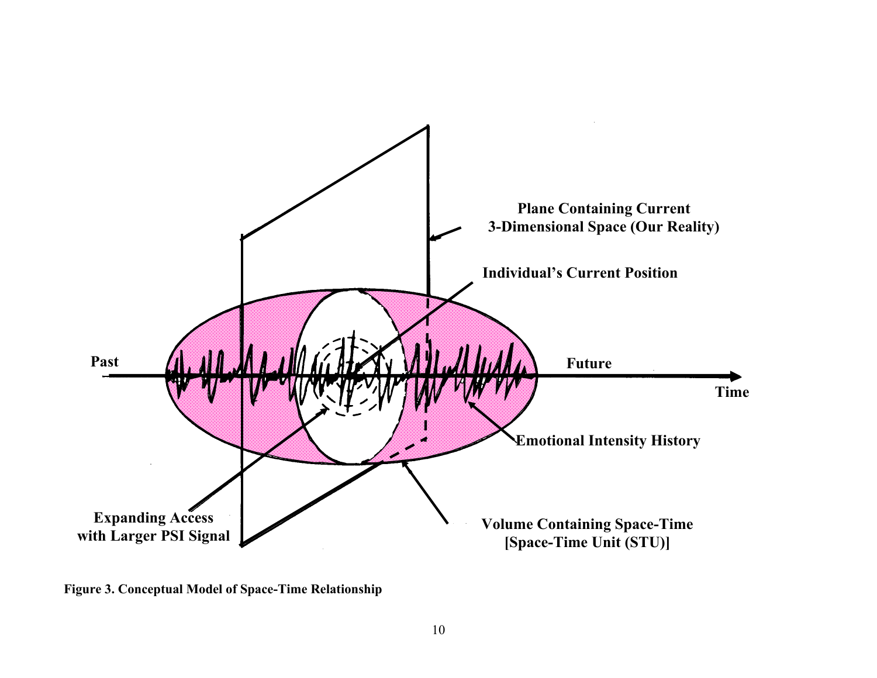

**Figure 3. Conceptual Model of Space-Time Relationship**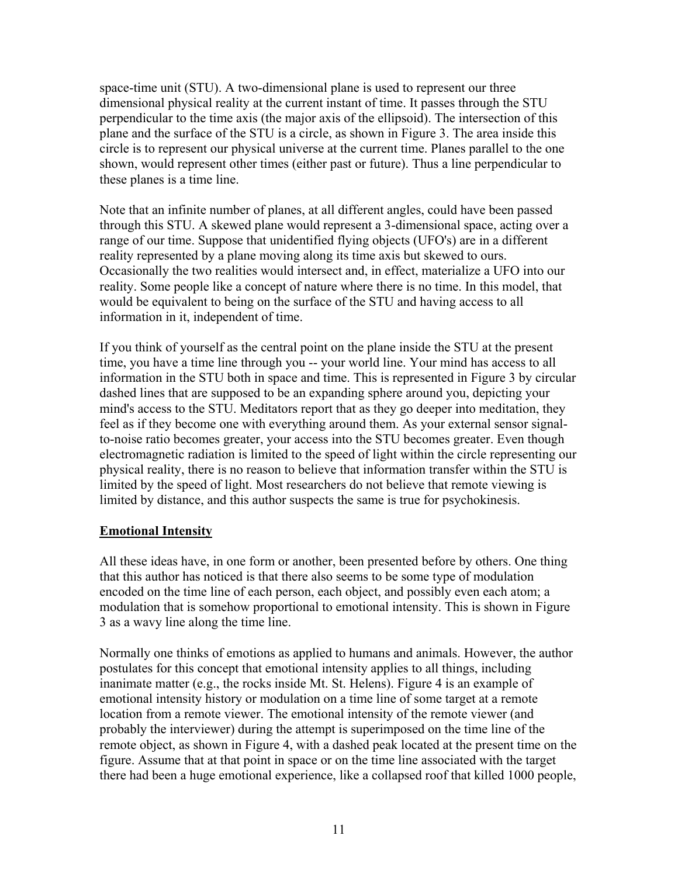space-time unit (STU). A two-dimensional plane is used to represent our three dimensional physical reality at the current instant of time. It passes through the STU perpendicular to the time axis (the major axis of the ellipsoid). The intersection of this plane and the surface of the STU is a circle, as shown in Figure 3. The area inside this circle is to represent our physical universe at the current time. Planes parallel to the one shown, would represent other times (either past or future). Thus a line perpendicular to these planes is a time line.

Note that an infinite number of planes, at all different angles, could have been passed through this STU. A skewed plane would represent a 3-dimensional space, acting over a range of our time. Suppose that unidentified flying objects (UFO's) are in a different reality represented by a plane moving along its time axis but skewed to ours. Occasionally the two realities would intersect and, in effect, materialize a UFO into our reality. Some people like a concept of nature where there is no time. In this model, that would be equivalent to being on the surface of the STU and having access to all information in it, independent of time.

If you think of yourself as the central point on the plane inside the STU at the present time, you have a time line through you -- your world line. Your mind has access to all information in the STU both in space and time. This is represented in Figure 3 by circular dashed lines that are supposed to be an expanding sphere around you, depicting your mind's access to the STU. Meditators report that as they go deeper into meditation, they feel as if they become one with everything around them. As your external sensor signalto-noise ratio becomes greater, your access into the STU becomes greater. Even though electromagnetic radiation is limited to the speed of light within the circle representing our physical reality, there is no reason to believe that information transfer within the STU is limited by the speed of light. Most researchers do not believe that remote viewing is limited by distance, and this author suspects the same is true for psychokinesis.

### **Emotional Intensity**

All these ideas have, in one form or another, been presented before by others. One thing that this author has noticed is that there also seems to be some type of modulation encoded on the time line of each person, each object, and possibly even each atom; a modulation that is somehow proportional to emotional intensity. This is shown in Figure 3 as a wavy line along the time line.

Normally one thinks of emotions as applied to humans and animals. However, the author postulates for this concept that emotional intensity applies to all things, including inanimate matter (e.g., the rocks inside Mt. St. Helens). Figure 4 is an example of emotional intensity history or modulation on a time line of some target at a remote location from a remote viewer. The emotional intensity of the remote viewer (and probably the interviewer) during the attempt is superimposed on the time line of the remote object, as shown in Figure 4, with a dashed peak located at the present time on the figure. Assume that at that point in space or on the time line associated with the target there had been a huge emotional experience, like a collapsed roof that killed 1000 people,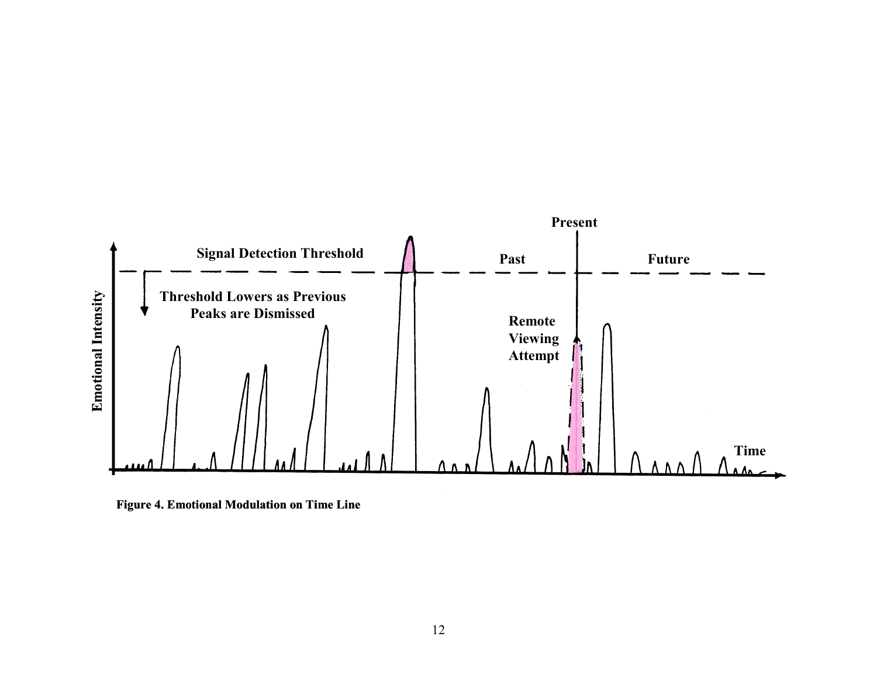

**Figure 4. Emotional Modulation on Time Line**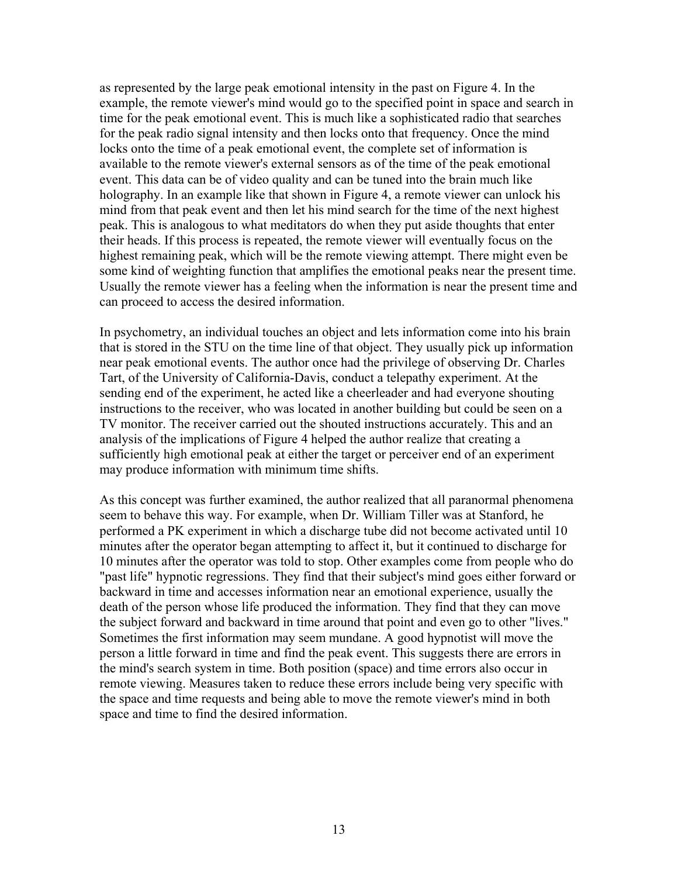as represented by the large peak emotional intensity in the past on Figure 4. In the example, the remote viewer's mind would go to the specified point in space and search in time for the peak emotional event. This is much like a sophisticated radio that searches for the peak radio signal intensity and then locks onto that frequency. Once the mind locks onto the time of a peak emotional event, the complete set of information is available to the remote viewer's external sensors as of the time of the peak emotional event. This data can be of video quality and can be tuned into the brain much like holography. In an example like that shown in Figure 4, a remote viewer can unlock his mind from that peak event and then let his mind search for the time of the next highest peak. This is analogous to what meditators do when they put aside thoughts that enter their heads. If this process is repeated, the remote viewer will eventually focus on the highest remaining peak, which will be the remote viewing attempt. There might even be some kind of weighting function that amplifies the emotional peaks near the present time. Usually the remote viewer has a feeling when the information is near the present time and can proceed to access the desired information.

In psychometry, an individual touches an object and lets information come into his brain that is stored in the STU on the time line of that object. They usually pick up information near peak emotional events. The author once had the privilege of observing Dr. Charles Tart, of the University of California-Davis, conduct a telepathy experiment. At the sending end of the experiment, he acted like a cheerleader and had everyone shouting instructions to the receiver, who was located in another building but could be seen on a TV monitor. The receiver carried out the shouted instructions accurately. This and an analysis of the implications of Figure 4 helped the author realize that creating a sufficiently high emotional peak at either the target or perceiver end of an experiment may produce information with minimum time shifts.

As this concept was further examined, the author realized that all paranormal phenomena seem to behave this way. For example, when Dr. William Tiller was at Stanford, he performed a PK experiment in which a discharge tube did not become activated until 10 minutes after the operator began attempting to affect it, but it continued to discharge for 10 minutes after the operator was told to stop. Other examples come from people who do "past life" hypnotic regressions. They find that their subject's mind goes either forward or backward in time and accesses information near an emotional experience, usually the death of the person whose life produced the information. They find that they can move the subject forward and backward in time around that point and even go to other "lives." Sometimes the first information may seem mundane. A good hypnotist will move the person a little forward in time and find the peak event. This suggests there are errors in the mind's search system in time. Both position (space) and time errors also occur in remote viewing. Measures taken to reduce these errors include being very specific with the space and time requests and being able to move the remote viewer's mind in both space and time to find the desired information.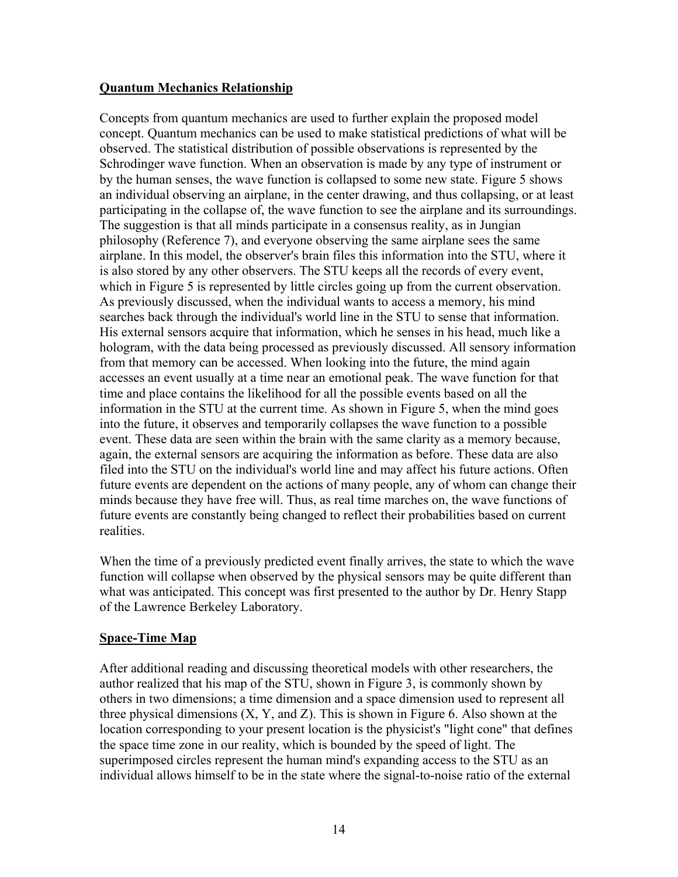### **Quantum Mechanics Relationship**

Concepts from quantum mechanics are used to further explain the proposed model concept. Quantum mechanics can be used to make statistical predictions of what will be observed. The statistical distribution of possible observations is represented by the Schrodinger wave function. When an observation is made by any type of instrument or by the human senses, the wave function is collapsed to some new state. Figure 5 shows an individual observing an airplane, in the center drawing, and thus collapsing, or at least participating in the collapse of, the wave function to see the airplane and its surroundings. The suggestion is that all minds participate in a consensus reality, as in Jungian philosophy (Reference 7), and everyone observing the same airplane sees the same airplane. In this model, the observer's brain files this information into the STU, where it is also stored by any other observers. The STU keeps all the records of every event, which in Figure 5 is represented by little circles going up from the current observation. As previously discussed, when the individual wants to access a memory, his mind searches back through the individual's world line in the STU to sense that information. His external sensors acquire that information, which he senses in his head, much like a hologram, with the data being processed as previously discussed. All sensory information from that memory can be accessed. When looking into the future, the mind again accesses an event usually at a time near an emotional peak. The wave function for that time and place contains the likelihood for all the possible events based on all the information in the STU at the current time. As shown in Figure 5, when the mind goes into the future, it observes and temporarily collapses the wave function to a possible event. These data are seen within the brain with the same clarity as a memory because, again, the external sensors are acquiring the information as before. These data are also filed into the STU on the individual's world line and may affect his future actions. Often future events are dependent on the actions of many people, any of whom can change their minds because they have free will. Thus, as real time marches on, the wave functions of future events are constantly being changed to reflect their probabilities based on current realities.

When the time of a previously predicted event finally arrives, the state to which the wave function will collapse when observed by the physical sensors may be quite different than what was anticipated. This concept was first presented to the author by Dr. Henry Stapp of the Lawrence Berkeley Laboratory.

### **Space-Time Map**

After additional reading and discussing theoretical models with other researchers, the author realized that his map of the STU, shown in Figure 3, is commonly shown by others in two dimensions; a time dimension and a space dimension used to represent all three physical dimensions  $(X, Y, \text{ and } Z)$ . This is shown in Figure 6. Also shown at the location corresponding to your present location is the physicist's "light cone" that defines the space time zone in our reality, which is bounded by the speed of light. The superimposed circles represent the human mind's expanding access to the STU as an individual allows himself to be in the state where the signal-to-noise ratio of the external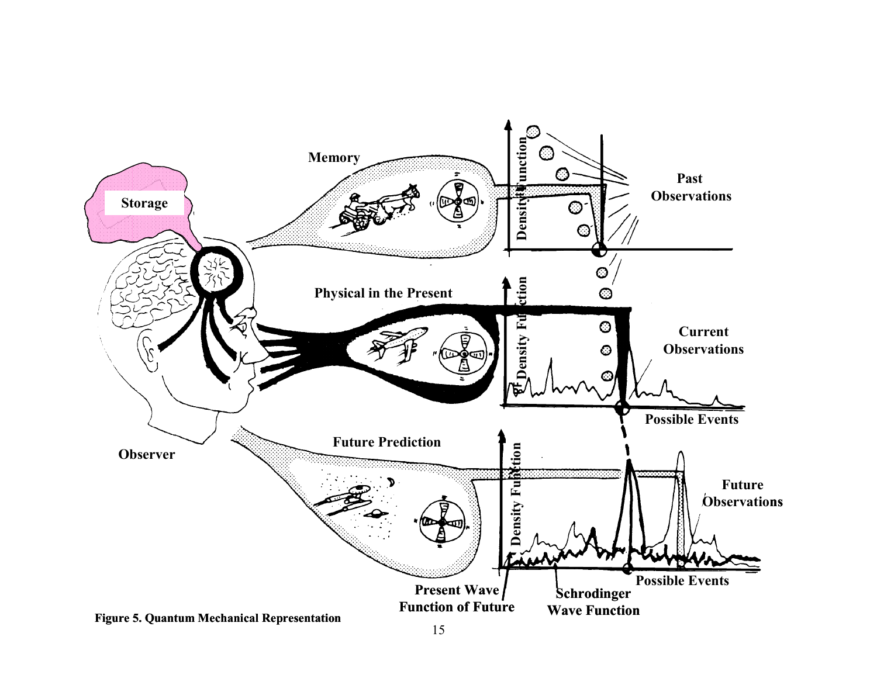

15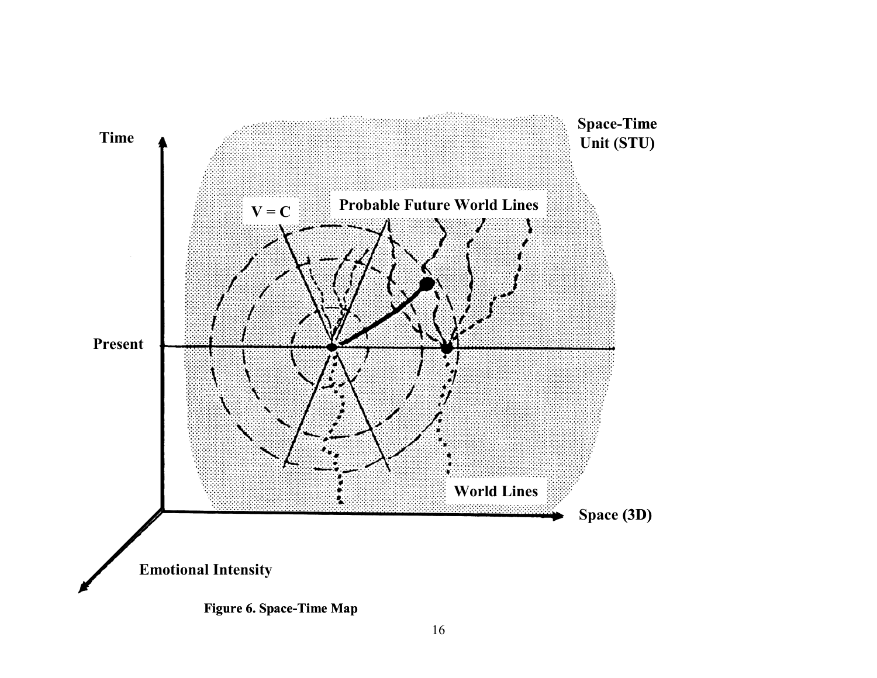

**Figure 6. Space-Time Map**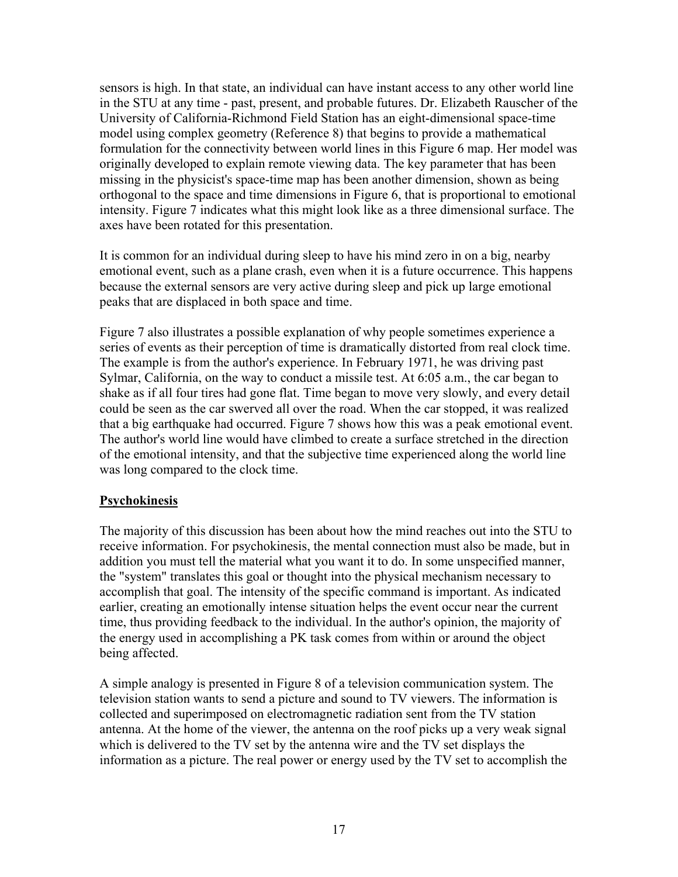sensors is high. In that state, an individual can have instant access to any other world line in the STU at any time - past, present, and probable futures. Dr. Elizabeth Rauscher of the University of California-Richmond Field Station has an eight-dimensional space-time model using complex geometry (Reference 8) that begins to provide a mathematical formulation for the connectivity between world lines in this Figure 6 map. Her model was originally developed to explain remote viewing data. The key parameter that has been missing in the physicist's space-time map has been another dimension, shown as being orthogonal to the space and time dimensions in Figure 6, that is proportional to emotional intensity. Figure 7 indicates what this might look like as a three dimensional surface. The axes have been rotated for this presentation.

It is common for an individual during sleep to have his mind zero in on a big, nearby emotional event, such as a plane crash, even when it is a future occurrence. This happens because the external sensors are very active during sleep and pick up large emotional peaks that are displaced in both space and time.

Figure 7 also illustrates a possible explanation of why people sometimes experience a series of events as their perception of time is dramatically distorted from real clock time. The example is from the author's experience. In February 1971, he was driving past Sylmar, California, on the way to conduct a missile test. At 6:05 a.m., the car began to shake as if all four tires had gone flat. Time began to move very slowly, and every detail could be seen as the car swerved all over the road. When the car stopped, it was realized that a big earthquake had occurred. Figure 7 shows how this was a peak emotional event. The author's world line would have climbed to create a surface stretched in the direction of the emotional intensity, and that the subjective time experienced along the world line was long compared to the clock time.

#### **Psychokinesis**

The majority of this discussion has been about how the mind reaches out into the STU to receive information. For psychokinesis, the mental connection must also be made, but in addition you must tell the material what you want it to do. In some unspecified manner, the "system" translates this goal or thought into the physical mechanism necessary to accomplish that goal. The intensity of the specific command is important. As indicated earlier, creating an emotionally intense situation helps the event occur near the current time, thus providing feedback to the individual. In the author's opinion, the majority of the energy used in accomplishing a PK task comes from within or around the object being affected.

A simple analogy is presented in Figure 8 of a television communication system. The television station wants to send a picture and sound to TV viewers. The information is collected and superimposed on electromagnetic radiation sent from the TV station antenna. At the home of the viewer, the antenna on the roof picks up a very weak signal which is delivered to the TV set by the antenna wire and the TV set displays the information as a picture. The real power or energy used by the TV set to accomplish the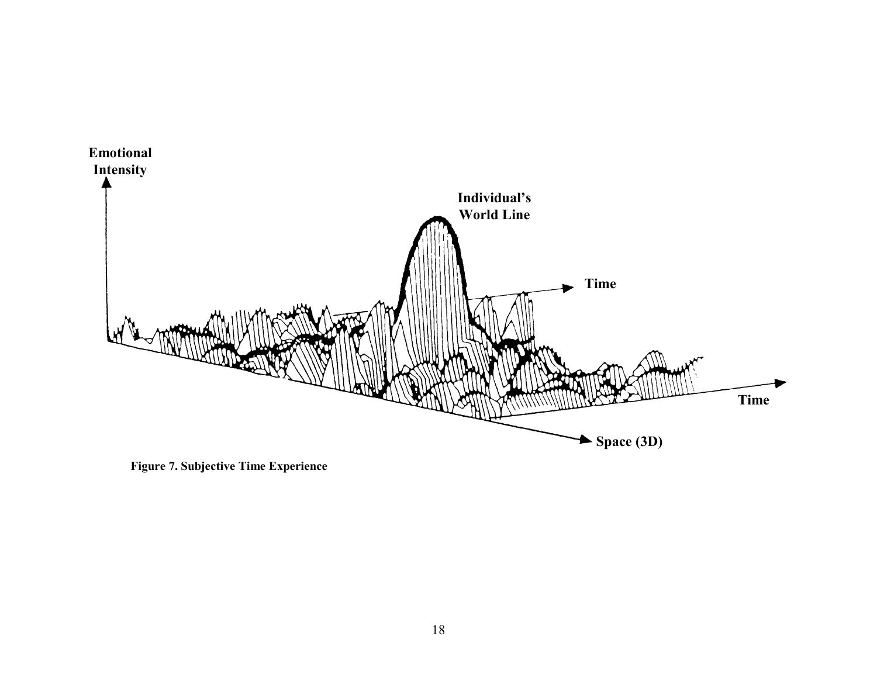

**Figure 7. Subjective Time Experience**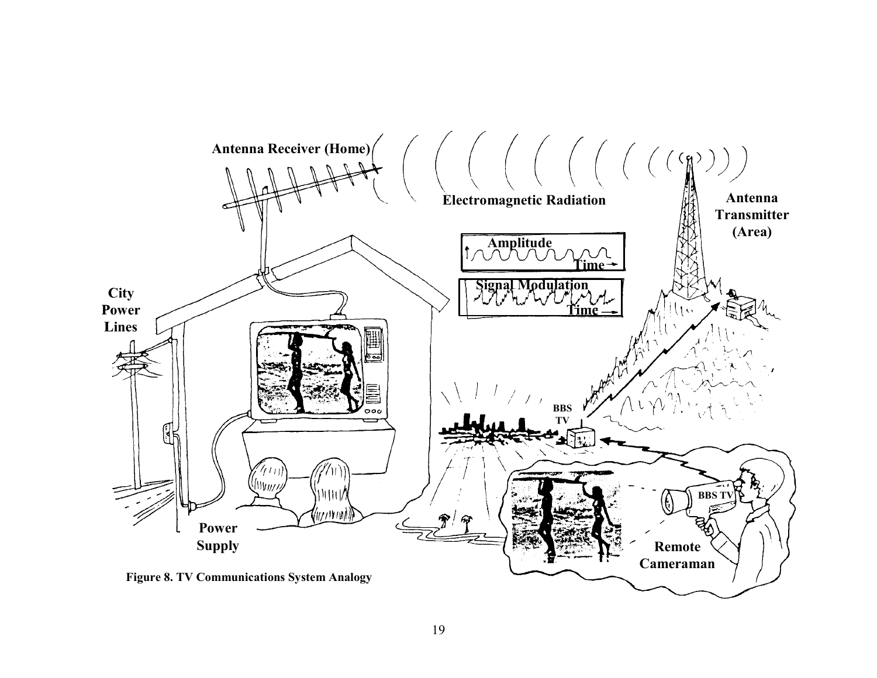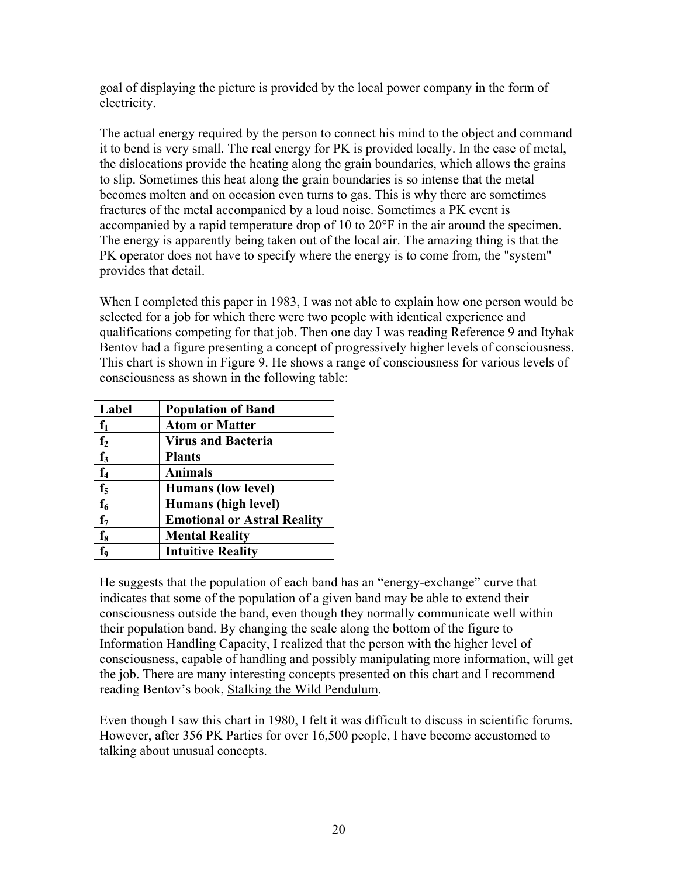goal of displaying the picture is provided by the local power company in the form of electricity.

The actual energy required by the person to connect his mind to the object and command it to bend is very small. The real energy for PK is provided locally. In the case of metal, the dislocations provide the heating along the grain boundaries, which allows the grains to slip. Sometimes this heat along the grain boundaries is so intense that the metal becomes molten and on occasion even turns to gas. This is why there are sometimes fractures of the metal accompanied by a loud noise. Sometimes a PK event is accompanied by a rapid temperature drop of 10 to 20°F in the air around the specimen. The energy is apparently being taken out of the local air. The amazing thing is that the PK operator does not have to specify where the energy is to come from, the "system" provides that detail.

When I completed this paper in 1983, I was not able to explain how one person would be selected for a job for which there were two people with identical experience and qualifications competing for that job. Then one day I was reading Reference 9 and Ityhak Bentov had a figure presenting a concept of progressively higher levels of consciousness. This chart is shown in Figure 9. He shows a range of consciousness for various levels of consciousness as shown in the following table:

| Label          | <b>Population of Band</b>          |
|----------------|------------------------------------|
| $f_1$          | <b>Atom or Matter</b>              |
| f <sub>2</sub> | <b>Virus and Bacteria</b>          |
| $f_3$          | <b>Plants</b>                      |
| $f_4$          | <b>Animals</b>                     |
| f <sub>5</sub> | <b>Humans (low level)</b>          |
| $f_6$          | Humans (high level)                |
| $f_7$          | <b>Emotional or Astral Reality</b> |
| $f_8$          | <b>Mental Reality</b>              |
| f,             | <b>Intuitive Reality</b>           |

He suggests that the population of each band has an "energy-exchange" curve that indicates that some of the population of a given band may be able to extend their consciousness outside the band, even though they normally communicate well within their population band. By changing the scale along the bottom of the figure to Information Handling Capacity, I realized that the person with the higher level of consciousness, capable of handling and possibly manipulating more information, will get the job. There are many interesting concepts presented on this chart and I recommend reading Bentov's book, Stalking the Wild Pendulum.

Even though I saw this chart in 1980, I felt it was difficult to discuss in scientific forums. However, after 356 PK Parties for over 16,500 people, I have become accustomed to talking about unusual concepts.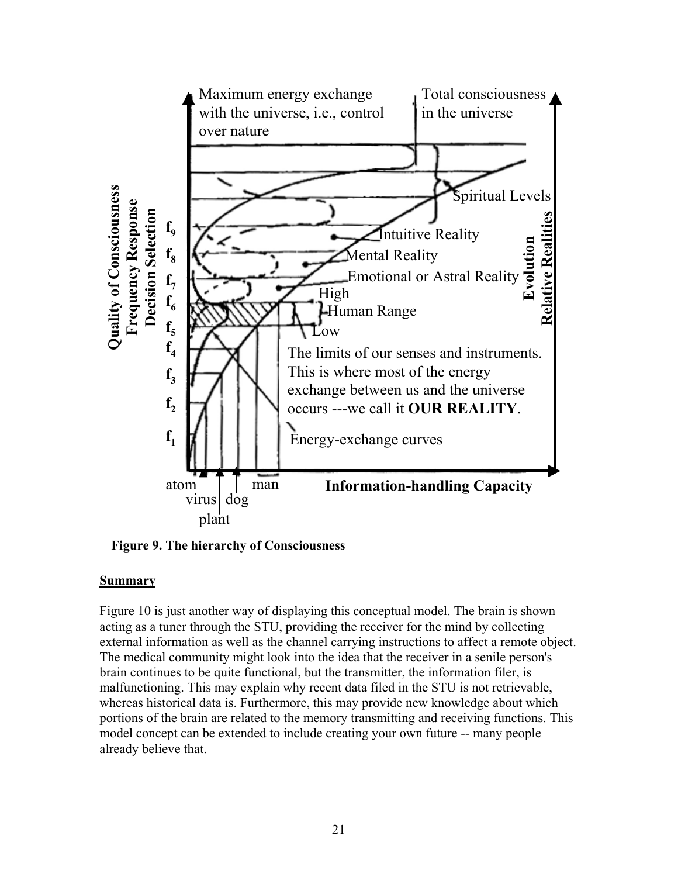

**Figure 9. The hierarchy of Consciousness**

### **Summary**

Figure 10 is just another way of displaying this conceptual model. The brain is shown acting as a tuner through the STU, providing the receiver for the mind by collecting external information as well as the channel carrying instructions to affect a remote object. The medical community might look into the idea that the receiver in a senile person's brain continues to be quite functional, but the transmitter, the information filer, is malfunctioning. This may explain why recent data filed in the STU is not retrievable, whereas historical data is. Furthermore, this may provide new knowledge about which portions of the brain are related to the memory transmitting and receiving functions. This model concept can be extended to include creating your own future -- many people already believe that.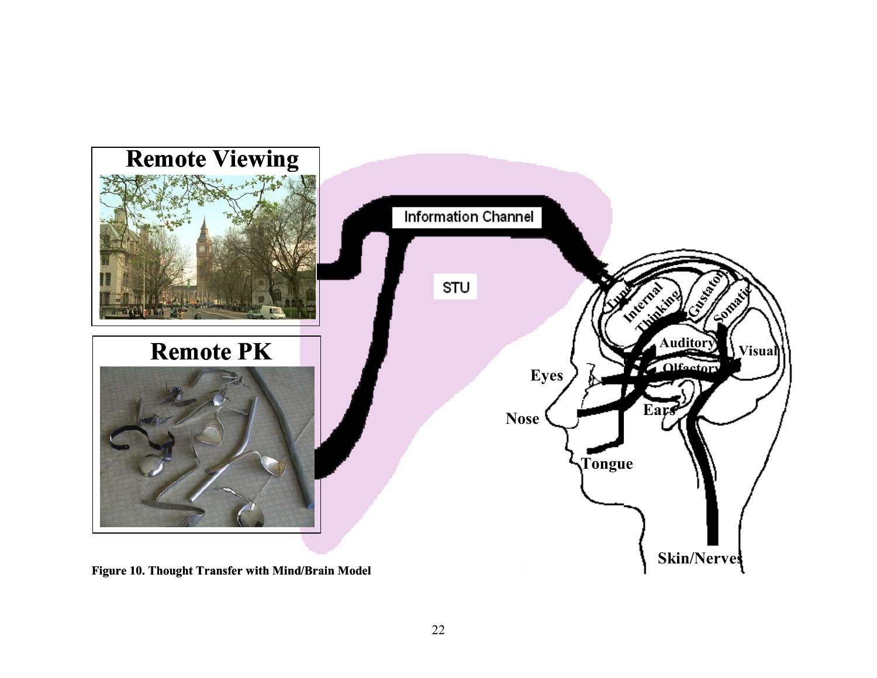

**Figure 10. Thought Transfer with Mind/Brain Model**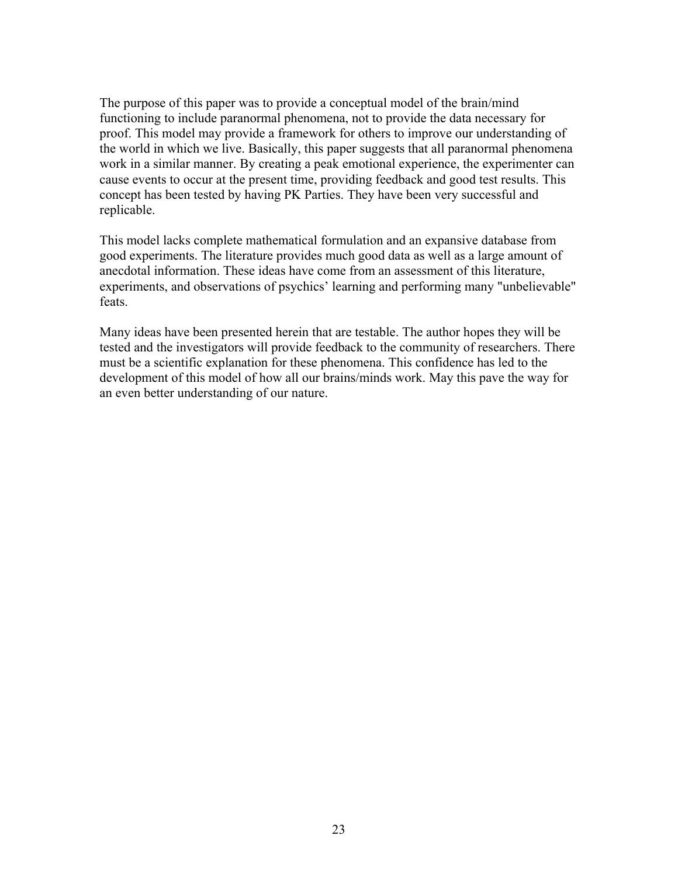The purpose of this paper was to provide a conceptual model of the brain/mind functioning to include paranormal phenomena, not to provide the data necessary for proof. This model may provide a framework for others to improve our understanding of the world in which we live. Basically, this paper suggests that all paranormal phenomena work in a similar manner. By creating a peak emotional experience, the experimenter can cause events to occur at the present time, providing feedback and good test results. This concept has been tested by having PK Parties. They have been very successful and replicable.

This model lacks complete mathematical formulation and an expansive database from good experiments. The literature provides much good data as well as a large amount of anecdotal information. These ideas have come from an assessment of this literature, experiments, and observations of psychics' learning and performing many "unbelievable" feats.

Many ideas have been presented herein that are testable. The author hopes they will be tested and the investigators will provide feedback to the community of researchers. There must be a scientific explanation for these phenomena. This confidence has led to the development of this model of how all our brains/minds work. May this pave the way for an even better understanding of our nature.